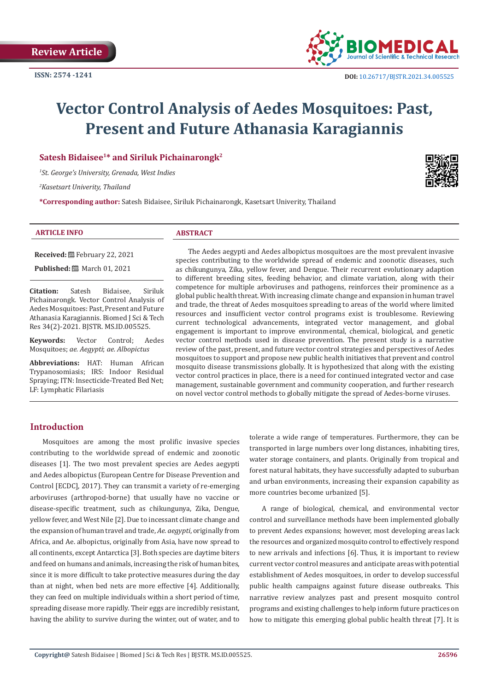

# **Vector Control Analysis of Aedes Mosquitoes: Past, Present and Future Athanasia Karagiannis**

**Satesh Bidaisee1\* and Siriluk Pichainarongk2**

*1 St. George's University, Grenada, West Indies*

*2 Kasetsart Univerity, Thailand* 

**\*Corresponding author:** Satesh Bidaisee, Siriluk Pichainarongk, Kasetsart Univerity, Thailand

#### **ARTICLE INFO ABSTRACT**

**Received:** February 22, 2021

**Published:** March 01, 2021

**Citation:** Satesh Bidaisee, Siriluk Pichainarongk. Vector Control Analysis of Aedes Mosquitoes: Past, Present and Future Athanasia Karagiannis. Biomed J Sci & Tech Res 34(2)-2021. BJSTR. MS.ID.005525.

**Keywords:** Vector Control; Aedes Mosquitoes; *ae. Aegypti*; *ae. Albopictus* 

**Abbreviations:** HAT: Human African Trypanosomiasis; IRS: Indoor Residual Spraying; ITN: Insecticide-Treated Bed Net; LF: Lymphatic Filariasis

The Aedes aegypti and Aedes albopictus mosquitoes are the most prevalent invasive species contributing to the worldwide spread of endemic and zoonotic diseases, such as chikungunya, Zika, yellow fever, and Dengue. Their recurrent evolutionary adaption to different breeding sites, feeding behavior, and climate variation, along with their competence for multiple arboviruses and pathogens, reinforces their prominence as a global public health threat. With increasing climate change and expansion in human travel and trade, the threat of Aedes mosquitoes spreading to areas of the world where limited resources and insufficient vector control programs exist is troublesome. Reviewing current technological advancements, integrated vector management, and global engagement is important to improve environmental, chemical, biological, and genetic vector control methods used in disease prevention. The present study is a narrative review of the past, present, and future vector control strategies and perspectives of Aedes mosquitoes to support and propose new public health initiatives that prevent and control mosquito disease transmissions globally. It is hypothesized that along with the existing vector control practices in place, there is a need for continued integrated vector and case management, sustainable government and community cooperation, and further research on novel vector control methods to globally mitigate the spread of Aedes-borne viruses.

## **Introduction**

Mosquitoes are among the most prolific invasive species contributing to the worldwide spread of endemic and zoonotic diseases [1]. The two most prevalent species are Aedes aegypti and Aedes albopictus (European Centre for Disease Prevention and Control [ECDC], 2017). They can transmit a variety of re-emerging arboviruses (arthropod-borne) that usually have no vaccine or disease-specific treatment, such as chikungunya, Zika, Dengue, yellow fever, and West Nile [2]. Due to incessant climate change and the expansion of human travel and trade, *Ae. aegypti*, originally from Africa, and Ae. albopictus, originally from Asia, have now spread to all continents, except Antarctica [3]. Both species are daytime biters and feed on humans and animals, increasing the risk of human bites, since it is more difficult to take protective measures during the day than at night, when bed nets are more effective [4]. Additionally, they can feed on multiple individuals within a short period of time, spreading disease more rapidly. Their eggs are incredibly resistant, having the ability to survive during the winter, out of water, and to tolerate a wide range of temperatures. Furthermore, they can be transported in large numbers over long distances, inhabiting tires, water storage containers, and plants. Originally from tropical and forest natural habitats, they have successfully adapted to suburban and urban environments, increasing their expansion capability as more countries become urbanized [5].

A range of biological, chemical, and environmental vector control and surveillance methods have been implemented globally to prevent Aedes expansions; however, most developing areas lack the resources and organized mosquito control to effectively respond to new arrivals and infections [6]. Thus, it is important to review current vector control measures and anticipate areas with potential establishment of Aedes mosquitoes, in order to develop successful public health campaigns against future disease outbreaks. This narrative review analyzes past and present mosquito control programs and existing challenges to help inform future practices on how to mitigate this emerging global public health threat [7]. It is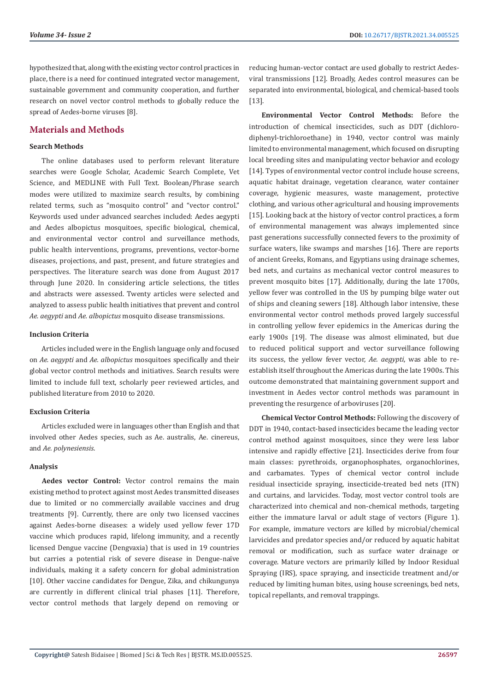hypothesized that, along with the existing vector control practices in place, there is a need for continued integrated vector management, sustainable government and community cooperation, and further research on novel vector control methods to globally reduce the spread of Aedes-borne viruses [8].

# **Materials and Methods**

### **Search Methods**

The online databases used to perform relevant literature searches were Google Scholar, Academic Search Complete, Vet Science, and MEDLINE with Full Text. Boolean/Phrase search modes were utilized to maximize search results, by combining related terms, such as "mosquito control" and "vector control." Keywords used under advanced searches included: Aedes aegypti and Aedes albopictus mosquitoes, specific biological, chemical, and environmental vector control and surveillance methods, public health interventions, programs, preventions, vector-borne diseases, projections, and past, present, and future strategies and perspectives. The literature search was done from August 2017 through June 2020. In considering article selections, the titles and abstracts were assessed. Twenty articles were selected and analyzed to assess public health initiatives that prevent and control *Ae. aegypti* and *Ae. albopictus* mosquito disease transmissions.

#### **Inclusion Criteria**

Articles included were in the English language only and focused on *Ae. aegypti* and *Ae. albopictus* mosquitoes specifically and their global vector control methods and initiatives. Search results were limited to include full text, scholarly peer reviewed articles, and published literature from 2010 to 2020.

#### **Exclusion Criteria**

Articles excluded were in languages other than English and that involved other Aedes species, such as Ae. australis, Ae. cinereus, and *Ae. polynesiensis*.

#### **Analysis**

**Aedes vector Control:** Vector control remains the main existing method to protect against most Aedes transmitted diseases due to limited or no commercially available vaccines and drug treatments [9]. Currently, there are only two licensed vaccines against Aedes-borne diseases: a widely used yellow fever 17D vaccine which produces rapid, lifelong immunity, and a recently licensed Dengue vaccine (Dengvaxia) that is used in 19 countries but carries a potential risk of severe disease in Dengue-naïve individuals, making it a safety concern for global administration [10]. Other vaccine candidates for Dengue, Zika, and chikungunya are currently in different clinical trial phases [11]. Therefore, vector control methods that largely depend on removing or

reducing human-vector contact are used globally to restrict Aedesviral transmissions [12]. Broadly, Aedes control measures can be separated into environmental, biological, and chemical-based tools [13].

**Environmental Vector Control Methods:** Before the introduction of chemical insecticides, such as DDT (dichlorodiphenyl-trichloroethane) in 1940, vector control was mainly limited to environmental management, which focused on disrupting local breeding sites and manipulating vector behavior and ecology [14]. Types of environmental vector control include house screens, aquatic habitat drainage, vegetation clearance, water container coverage, hygienic measures, waste management, protective clothing, and various other agricultural and housing improvements [15]. Looking back at the history of vector control practices, a form of environmental management was always implemented since past generations successfully connected fevers to the proximity of surface waters, like swamps and marshes [16]. There are reports of ancient Greeks, Romans, and Egyptians using drainage schemes, bed nets, and curtains as mechanical vector control measures to prevent mosquito bites [17]. Additionally, during the late 1700s, yellow fever was controlled in the US by pumping bilge water out of ships and cleaning sewers [18]. Although labor intensive, these environmental vector control methods proved largely successful in controlling yellow fever epidemics in the Americas during the early 1900s [19]. The disease was almost eliminated, but due to reduced political support and vector surveillance following its success, the yellow fever vector, *Ae. aegypti*, was able to reestablish itself throughout the Americas during the late 1900s. This outcome demonstrated that maintaining government support and investment in Aedes vector control methods was paramount in preventing the resurgence of arboviruses [20].

**Chemical Vector Control Methods:** Following the discovery of DDT in 1940, contact-based insecticides became the leading vector control method against mosquitoes, since they were less labor intensive and rapidly effective [21]. Insecticides derive from four main classes: pyrethroids, organophosphates, organochlorines, and carbamates. Types of chemical vector control include residual insecticide spraying, insecticide-treated bed nets (ITN) and curtains, and larvicides. Today, most vector control tools are characterized into chemical and non-chemical methods, targeting either the immature larval or adult stage of vectors (Figure 1). For example, immature vectors are killed by microbial/chemical larvicides and predator species and/or reduced by aquatic habitat removal or modification, such as surface water drainage or coverage. Mature vectors are primarily killed by Indoor Residual Spraying (IRS), space spraying, and insecticide treatment and/or reduced by limiting human bites, using house screenings, bed nets, topical repellants, and removal trappings.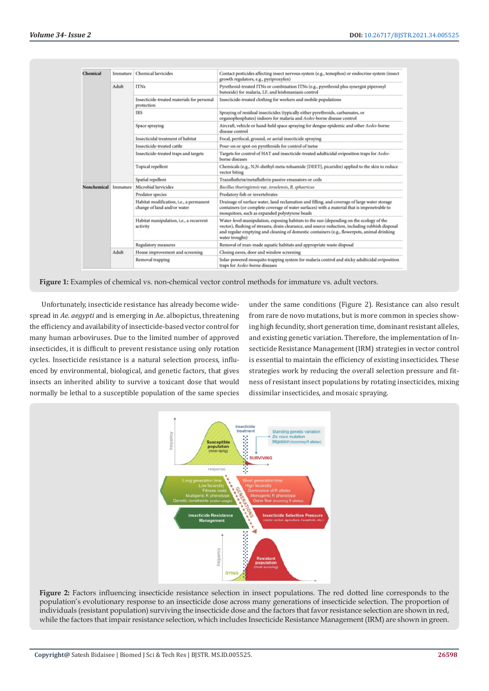| Chemical    | Immature | Chemical larvicides                                                    | Contact pesticides affecting insect nervous system (e.g., temephos) or endocrine system (insect<br>growth regulators, e.g., pyriproxyfen)                                                                                                                                                                   |
|-------------|----------|------------------------------------------------------------------------|-------------------------------------------------------------------------------------------------------------------------------------------------------------------------------------------------------------------------------------------------------------------------------------------------------------|
|             | Adult    | <b>ITNs</b>                                                            | Pyrethroid-treated ITNs or combination ITNs (e.g., pyrethroid plus synergist piperonyl<br>butoxide) for malaria, LF, and leishmaniasis control                                                                                                                                                              |
|             |          | Insecticide-treated materials for personal<br>protection               | Insecticide-treated clothing for workers and mobile populations                                                                                                                                                                                                                                             |
|             |          | <b>IRS</b>                                                             | Spraying of residual insecticides (typically either pyrethroids, carbamates, or<br>organophosphates) indoors for malaria and Aedes-borne disease control                                                                                                                                                    |
|             |          | Space spraying                                                         | Aircraft, vehicle or hand-held space spraying for dengue epidemic and other Aedes-borne<br>disease control                                                                                                                                                                                                  |
|             |          | Insecticidal treatment of habitat                                      | Focal, perifocal, ground, or aerial insecticide spraying                                                                                                                                                                                                                                                    |
|             |          | Insecticide-treated cattle                                             | Pour-on or spot-on pyrethroids for control of tsetse                                                                                                                                                                                                                                                        |
|             |          | Insecticide-treated traps and targets                                  | Targets for control of HAT and insecticide-treated adulticidal oviposition traps for Aedes-<br>borne diseases                                                                                                                                                                                               |
|             |          | Topical repellent                                                      | Chemicals (e.g., N,N-diethyl-meta-toluamide [DEET], picaridin) applied to the skin to reduce<br>vector biting                                                                                                                                                                                               |
|             |          | Spatial repellent                                                      | Transfluthrin/metafluthrin passive emanators or coils                                                                                                                                                                                                                                                       |
| Nonchemical | Immature | Microbial larvicides                                                   | Bacillus thuringiensis var. israelensis, B. sphaericus                                                                                                                                                                                                                                                      |
|             |          | Predator species                                                       | Predatory fish or invertebrates                                                                                                                                                                                                                                                                             |
|             |          | Habitat modification, i.e., a permanent<br>change of land and/or water | Drainage of surface water, land reclamation and filling, and coverage of large water storage<br>containers (or complete coverage of water surfaces) with a material that is impenetrable to<br>mosquitoes, such as expanded polystyrene beads                                                               |
|             |          | Habitat manipulation, i.e., a recurrent<br>activity                    | Water-level manipulation, exposing habitats to the sun (depending on the ecology of the<br>vector), flushing of streams, drain clearance, and source reduction, including rubbish disposal<br>and regular emptying and cleaning of domestic containers (e.g., flowerpots, animal drinking<br>water troughs) |
|             |          | Regulatory measures                                                    | Removal of man-made aquatic habitats and appropriate waste disposal                                                                                                                                                                                                                                         |
|             | Adult    | House improvement and screening                                        | Closing eaves, door and window screening                                                                                                                                                                                                                                                                    |
|             |          | Removal trapping                                                       | Solar-powered mosquito trapping system for malaria control and sticky adulticidal oviposition<br>traps for Aedes-borne diseases                                                                                                                                                                             |

Figure 1: Examples of chemical vs. non-chemical vector control methods for immature vs. adult vectors.

Unfortunately, insecticide resistance has already become widespread in *Ae. aegypti* and is emerging in Ae. albopictus, threatening the efficiency and availability of insecticide-based vector control for many human arboviruses. Due to the limited number of approved insecticides, it is difficult to prevent resistance using only rotation cycles. Insecticide resistance is a natural selection process, influenced by environmental, biological, and genetic factors, that gives insects an inherited ability to survive a toxicant dose that would normally be lethal to a susceptible population of the same species

under the same conditions (Figure 2). Resistance can also result from rare de novo mutations, but is more common in species showing high fecundity, short generation time, dominant resistant alleles, and existing genetic variation. Therefore, the implementation of Insecticide Resistance Management (IRM) strategies in vector control is essential to maintain the efficiency of existing insecticides. These strategies work by reducing the overall selection pressure and fitness of resistant insect populations by rotating insecticides, mixing dissimilar insecticides, and mosaic spraying.



**Figure 2:** Factors influencing insecticide resistance selection in insect populations. The red dotted line corresponds to the population's evolutionary response to an insecticide dose across many generations of insecticide selection. The proportion of individuals (resistant population) surviving the insecticide dose and the factors that favor resistance selection are shown in red, while the factors that impair resistance selection, which includes Insecticide Resistance Management (IRM) are shown in green.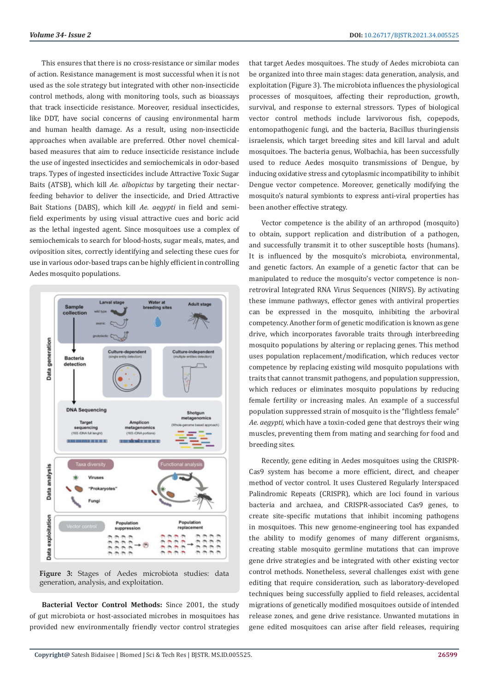This ensures that there is no cross-resistance or similar modes of action. Resistance management is most successful when it is not used as the sole strategy but integrated with other non-insecticide control methods, along with monitoring tools, such as bioassays that track insecticide resistance. Moreover, residual insecticides, like DDT, have social concerns of causing environmental harm and human health damage. As a result, using non-insecticide approaches when available are preferred. Other novel chemicalbased measures that aim to reduce insecticide resistance include the use of ingested insecticides and semiochemicals in odor-based traps. Types of ingested insecticides include Attractive Toxic Sugar Baits (ATSB), which kill *Ae. albopictus* by targeting their nectarfeeding behavior to deliver the insecticide, and Dried Attractive Bait Stations (DABS), which kill *Ae. aegypti* in field and semifield experiments by using visual attractive cues and boric acid as the lethal ingested agent. Since mosquitoes use a complex of semiochemicals to search for blood-hosts, sugar meals, mates, and oviposition sites, correctly identifying and selecting these cues for use in various odor-based traps can be highly efficient in controlling Aedes mosquito populations.





**Bacterial Vector Control Methods:** Since 2001, the study of gut microbiota or host-associated microbes in mosquitoes has provided new environmentally friendly vector control strategies that target Aedes mosquitoes. The study of Aedes microbiota can be organized into three main stages: data generation, analysis, and exploitation (Figure 3). The microbiota influences the physiological processes of mosquitoes, affecting their reproduction, growth, survival, and response to external stressors. Types of biological vector control methods include larvivorous fish, copepods, entomopathogenic fungi, and the bacteria, Bacillus thuringiensis israelensis, which target breeding sites and kill larval and adult mosquitoes. The bacteria genus, Wolbachia, has been successfully used to reduce Aedes mosquito transmissions of Dengue, by inducing oxidative stress and cytoplasmic incompatibility to inhibit Dengue vector competence. Moreover, genetically modifying the mosquito's natural symbionts to express anti-viral properties has been another effective strategy.

Vector competence is the ability of an arthropod (mosquito) to obtain, support replication and distribution of a pathogen, and successfully transmit it to other susceptible hosts (humans). It is influenced by the mosquito's microbiota, environmental, and genetic factors. An example of a genetic factor that can be manipulated to reduce the mosquito's vector competence is nonretroviral Integrated RNA Virus Sequences (NIRVS). By activating these immune pathways, effector genes with antiviral properties can be expressed in the mosquito, inhibiting the arboviral competency. Another form of genetic modification is known as gene drive, which incorporates favorable traits through interbreeding mosquito populations by altering or replacing genes. This method uses population replacement/modification, which reduces vector competence by replacing existing wild mosquito populations with traits that cannot transmit pathogens, and population suppression, which reduces or eliminates mosquito populations by reducing female fertility or increasing males. An example of a successful population suppressed strain of mosquito is the "flightless female" *Ae. aegypti*, which have a toxin-coded gene that destroys their wing muscles, preventing them from mating and searching for food and breeding sites.

Recently, gene editing in Aedes mosquitoes using the CRISPR-Cas9 system has become a more efficient, direct, and cheaper method of vector control. It uses Clustered Regularly Interspaced Palindromic Repeats (CRISPR), which are loci found in various bacteria and archaea, and CRISPR-associated Cas9 genes, to create site-specific mutations that inhibit incoming pathogens in mosquitoes. This new genome-engineering tool has expanded the ability to modify genomes of many different organisms, creating stable mosquito germline mutations that can improve gene drive strategies and be integrated with other existing vector control methods. Nonetheless, several challenges exist with gene editing that require consideration, such as laboratory-developed techniques being successfully applied to field releases, accidental migrations of genetically modified mosquitoes outside of intended release zones, and gene drive resistance. Unwanted mutations in gene edited mosquitoes can arise after field releases, requiring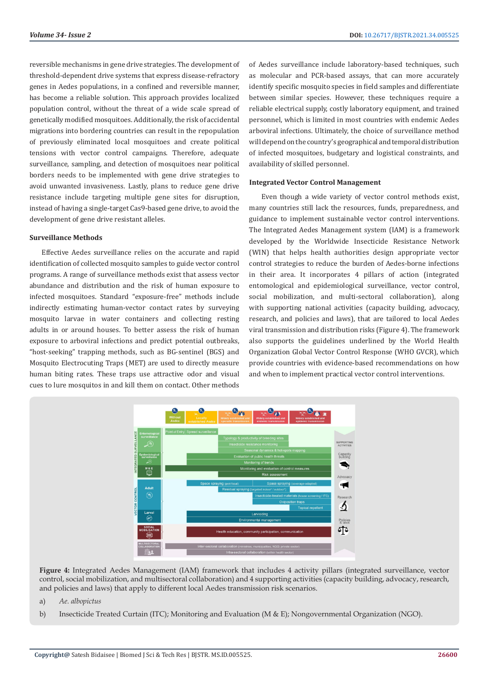reversible mechanisms in gene drive strategies. The development of threshold-dependent drive systems that express disease-refractory genes in Aedes populations, in a confined and reversible manner, has become a reliable solution. This approach provides localized population control, without the threat of a wide scale spread of genetically modified mosquitoes. Additionally, the risk of accidental migrations into bordering countries can result in the repopulation of previously eliminated local mosquitoes and create political tensions with vector control campaigns. Therefore, adequate surveillance, sampling, and detection of mosquitoes near political borders needs to be implemented with gene drive strategies to avoid unwanted invasiveness. Lastly, plans to reduce gene drive resistance include targeting multiple gene sites for disruption, instead of having a single-target Cas9-based gene drive, to avoid the development of gene drive resistant alleles.

#### **Surveillance Methods**

Effective Aedes surveillance relies on the accurate and rapid identification of collected mosquito samples to guide vector control programs. A range of surveillance methods exist that assess vector abundance and distribution and the risk of human exposure to infected mosquitoes. Standard "exposure-free" methods include indirectly estimating human-vector contact rates by surveying mosquito larvae in water containers and collecting resting adults in or around houses. To better assess the risk of human exposure to arboviral infections and predict potential outbreaks, "host-seeking" trapping methods, such as BG-sentinel (BGS) and Mosquito Electrocuting Traps (MET) are used to directly measure human biting rates. These traps use attractive odor and visual cues to lure mosquitos in and kill them on contact. Other methods

of Aedes surveillance include laboratory-based techniques, such as molecular and PCR-based assays, that can more accurately identify specific mosquito species in field samples and differentiate between similar species. However, these techniques require a reliable electrical supply, costly laboratory equipment, and trained personnel, which is limited in most countries with endemic Aedes arboviral infections. Ultimately, the choice of surveillance method will depend on the country's geographical and temporal distribution of infected mosquitoes, budgetary and logistical constraints, and availability of skilled personnel.

#### **Integrated Vector Control Management**

Even though a wide variety of vector control methods exist, many countries still lack the resources, funds, preparedness, and guidance to implement sustainable vector control interventions. The Integrated Aedes Management system (IAM) is a framework developed by the Worldwide Insecticide Resistance Network (WIN) that helps health authorities design appropriate vector control strategies to reduce the burden of Aedes-borne infections in their area. It incorporates 4 pillars of action (integrated entomological and epidemiological surveillance, vector control, social mobilization, and multi-sectoral collaboration), along with supporting national activities (capacity building, advocacy, research, and policies and laws), that are tailored to local Aedes viral transmission and distribution risks (Figure 4). The framework also supports the guidelines underlined by the World Health Organization Global Vector Control Response (WHO GVCR), which provide countries with evidence-based recommendations on how and when to implement practical vector control interventions.



**Figure 4:** Integrated Aedes Management (IAM) framework that includes 4 activity pillars (integrated surveillance, vector control, social mobilization, and multisectoral collaboration) and 4 supporting activities (capacity building, advocacy, research, and policies and laws) that apply to different local Aedes transmission risk scenarios.

- a) *Ae. albopictus*
- b) Insecticide Treated Curtain (ITC); Monitoring and Evaluation (M & E); Nongovernmental Organization (NGO).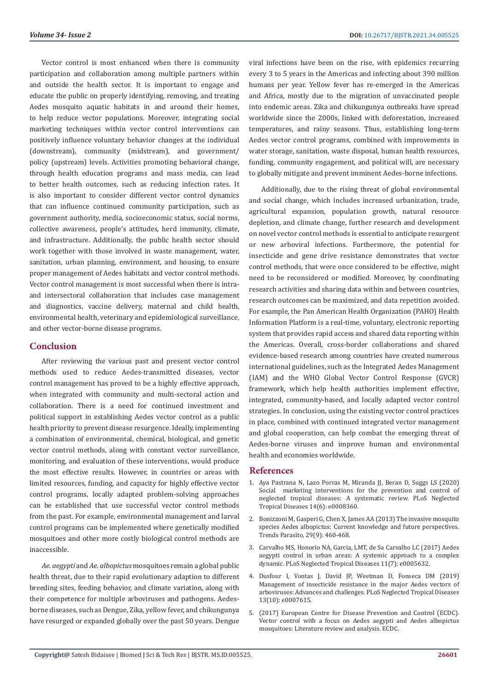Vector control is most enhanced when there is community participation and collaboration among multiple partners within and outside the health sector. It is important to engage and educate the public on properly identifying, removing, and treating Aedes mosquito aquatic habitats in and around their homes, to help reduce vector populations. Moreover, integrating social marketing techniques within vector control interventions can positively influence voluntary behavior changes at the individual (downstream), community (midstream), and government/ policy (upstream) levels. Activities promoting behavioral change, through health education programs and mass media, can lead to better health outcomes, such as reducing infection rates. It is also important to consider different vector control dynamics that can influence continued community participation, such as government authority, media, socioeconomic status, social norms, collective awareness, people's attitudes, herd immunity, climate, and infrastructure. Additionally, the public health sector should work together with those involved in waste management, water, sanitation, urban planning, environment, and housing, to ensure proper management of Aedes habitats and vector control methods. Vector control management is most successful when there is intraand intersectoral collaboration that includes case management and diagnostics, vaccine delivery, maternal and child health, environmental health, veterinary and epidemiological surveillance, and other vector-borne disease programs.

#### **Conclusion**

After reviewing the various past and present vector control methods used to reduce Aedes-transmitted diseases, vector control management has proved to be a highly effective approach, when integrated with community and multi-sectoral action and collaboration. There is a need for continued investment and political support in establishing Aedes vector control as a public health priority to prevent disease resurgence. Ideally, implementing a combination of environmental, chemical, biological, and genetic vector control methods, along with constant vector surveillance, monitoring, and evaluation of these interventions, would produce the most effective results. However, in countries or areas with limited resources, funding, and capacity for highly effective vector control programs, locally adapted problem-solving approaches can be established that use successful vector control methods from the past. For example, environmental management and larval control programs can be implemented where genetically modified mosquitoes and other more costly biological control methods are inaccessible.

*Ae. aegypti* and *Ae. albopictus* mosquitoes remain a global public health threat, due to their rapid evolutionary adaption to different breeding sites, feeding behavior, and climate variation, along with their competence for multiple arboviruses and pathogens. Aedesborne diseases, such as Dengue, Zika, yellow fever, and chikungunya have resurged or expanded globally over the past 50 years. Dengue

viral infections have been on the rise, with epidemics recurring every 3 to 5 years in the Americas and infecting about 390 million humans per year. Yellow fever has re-emerged in the Americas and Africa, mostly due to the migration of unvaccinated people into endemic areas. Zika and chikungunya outbreaks have spread worldwide since the 2000s, linked with deforestation, increased temperatures, and rainy seasons. Thus, establishing long-term Aedes vector control programs, combined with improvements in water storage, sanitation, waste disposal, human health resources, funding, community engagement, and political will, are necessary to globally mitigate and prevent imminent Aedes-borne infections.

Additionally, due to the rising threat of global environmental and social change, which includes increased urbanization, trade, agricultural expansion, population growth, natural resource depletion, and climate change, further research and development on novel vector control methods is essential to anticipate resurgent or new arboviral infections. Furthermore, the potential for insecticide and gene drive resistance demonstrates that vector control methods, that were once considered to be effective, might need to be reconsidered or modified. Moreover, by coordinating research activities and sharing data within and between countries, research outcomes can be maximized, and data repetition avoided. For example, the Pan American Health Organization (PAHO) Health Information Platform is a real-time, voluntary, electronic reporting system that provides rapid access and shared data reporting within the Americas. Overall, cross-border collaborations and shared evidence-based research among countries have created numerous international guidelines, such as the Integrated Aedes Management (IAM) and the WHO Global Vector Control Response (GVCR) framework, which help health authorities implement effective, integrated, community-based, and locally adapted vector control strategies. In conclusion, using the existing vector control practices in place, combined with continued integrated vector management and global cooperation, can help combat the emerging threat of Aedes-borne viruses and improve human and environmental health and economies worldwide.

#### **References**

- 1. [Aya Pastrana N, Lazo Porras M, Miranda JJ, Beran D, Suggs LS \(2020\)](https://www.ncbi.nlm.nih.gov/pmc/articles/PMC7299328/) [Social marketing interventions for the prevention and control of](https://www.ncbi.nlm.nih.gov/pmc/articles/PMC7299328/) [neglected tropical diseases: A systematic review. PLoS Neglected](https://www.ncbi.nlm.nih.gov/pmc/articles/PMC7299328/) [Tropical Diseases 14\(6\): e0008360.](https://www.ncbi.nlm.nih.gov/pmc/articles/PMC7299328/)
- 2. [Bonizzoni M, Gasperi G, Chen X, James AA \(2013\) The invasive mosquito](https://pubmed.ncbi.nlm.nih.gov/23916878/) [species Aedes albopictus: Current knowledge and future perspectives.](https://pubmed.ncbi.nlm.nih.gov/23916878/) [Trends Parasito, 29\(9\): 460-468.](https://pubmed.ncbi.nlm.nih.gov/23916878/)
- 3. [Carvalho MS, Honorio NA, Garcia, LMT, de Sa Carvalho LC \(2017\) Aedes](https://pubmed.ncbi.nlm.nih.gov/28749942/) [aegypti control in urban areas: A systemic approach to a complex](https://pubmed.ncbi.nlm.nih.gov/28749942/) [dynamic. PLoS Neglected Tropical Diseases 11\(7\): e0005632.](https://pubmed.ncbi.nlm.nih.gov/28749942/)
- 4. [Dusfour I, Vontas J, David JP, Weetman D, Fonseca DM \(2019\)](https://www.ncbi.nlm.nih.gov/pmc/articles/PMC6786541/) [Management of insecticide resistance in the major Aedes vectors of](https://www.ncbi.nlm.nih.gov/pmc/articles/PMC6786541/) [arboviruses: Advances and challenges. PLoS Neglected Tropical Diseases](https://www.ncbi.nlm.nih.gov/pmc/articles/PMC6786541/) [13\(10\): e0007615.](https://www.ncbi.nlm.nih.gov/pmc/articles/PMC6786541/)
- 5. (2017) European Centre for Disease Prevention and Control (ECDC). Vector control with a focus on Aedes aegypti and Aedes albopictus mosquitoes: Literature review and analysis. ECDC.